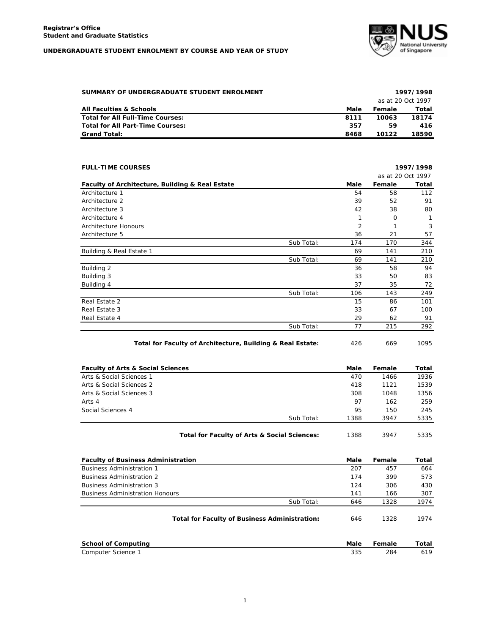## **UNDERGRADUATE STUDENT ENROLMENT BY COURSE AND YEAR OF STUDY**



| SUMMARY OF UNDERGRADUATE STUDENT ENROLMENT |      |        | 1997/1998         |
|--------------------------------------------|------|--------|-------------------|
|                                            |      |        | as at 20 Oct 1997 |
| All Faculties & Schools                    | Male | Female | Total             |
| Total for All Full-Time Courses:           | 8111 | 10063  | 18174             |
| Total for All Part-Time Courses:           | 357  | 59     | 416               |
| <b>Grand Total:</b>                        | 8468 | 10122  | 18590             |

| <b>FULL-TIME COURSES</b>                                   |            |      |                   | 1997/1998 |
|------------------------------------------------------------|------------|------|-------------------|-----------|
|                                                            |            |      | as at 20 Oct 1997 |           |
| Faculty of Architecture, Building & Real Estate            |            | Male | Female            | Total     |
| Architecture 1                                             |            | 54   | 58                | 112       |
| Architecture 2                                             |            | 39   | 52                | 91        |
| Architecture 3                                             |            | 42   | 38                | 80        |
| Architecture 4                                             |            | 1    | O                 | 1         |
| Architecture Honours                                       |            | 2    | 1                 | 3         |
| Architecture 5                                             |            | 36   | 21                | 57        |
|                                                            | Sub Total: | 174  | 170               | 344       |
| Building & Real Estate 1                                   |            | 69   | 141               | 210       |
|                                                            | Sub Total: | 69   | 141               | 210       |
| Building 2                                                 |            | 36   | 58                | 94        |
| Building 3                                                 |            | 33   | 50                | 83        |
| Building 4                                                 |            | 37   | 35                | 72        |
|                                                            | Sub Total: | 106  | 143               | 249       |
| Real Estate 2                                              |            | 15   | 86                | 101       |
| Real Estate 3                                              |            | 33   | 67                | 100       |
| Real Estate 4                                              |            | 29   | 62                | 91        |
|                                                            | Sub Total: | 77   | 215               | 292       |
| Total for Faculty of Architecture, Building & Real Estate: |            | 426  | 669               | 1095      |

| <b>Faculty of Arts &amp; Social Sciences</b> |                                              | Male | Female | Total |
|----------------------------------------------|----------------------------------------------|------|--------|-------|
| Arts & Social Sciences 1                     |                                              | 470  | 1466   | 1936  |
| Arts & Social Sciences 2                     |                                              | 418  | 1121   | 1539  |
| Arts & Social Sciences 3                     |                                              | 308  | 1048   | 1356  |
| Arts 4                                       |                                              | 97   | 162    | 259   |
| Social Sciences 4                            |                                              | 95   | 150    | 245   |
|                                              | Sub Total:                                   | 1388 | 3947   | 5335  |
|                                              | Total for Faculty of Arts & Social Sciences: | 1388 | 3947   | 5335  |

| <b>Faculty of Business Administration</b>            | Male | Female | Total |
|------------------------------------------------------|------|--------|-------|
| <b>Business Administration 1</b>                     | 207  | 457    | 664   |
| <b>Business Administration 2</b>                     | 174  | 399    | 573   |
| <b>Business Administration 3</b>                     | 124  | 306    | 430   |
| <b>Business Administration Honours</b>               | 141  | 166    | 307   |
| Sub Total:                                           | 646  | 1328   | 1974  |
| <b>Total for Faculty of Business Administration:</b> | 646  | 1328   | 1974  |

| School of Computina | Male | Female | ſotal |
|---------------------|------|--------|-------|
| Computer Science    | 335  | 284    |       |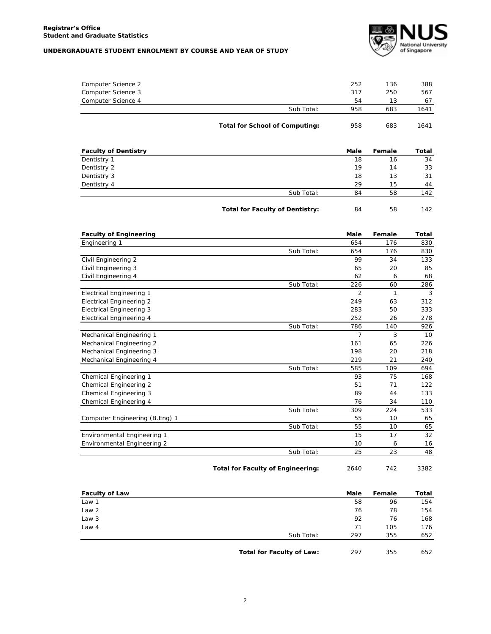## **UNDERGRADUATE STUDENT ENROLMENT BY COURSE AND YEAR OF STUDY**



|                    | Total for School of Computing: | 958 | 683 | 1641 |
|--------------------|--------------------------------|-----|-----|------|
|                    | Sub Total:                     | 958 | 683 | 1641 |
| Computer Science 4 |                                | 54  | 13  | 67   |
| Computer Science 3 |                                | 317 | 250 | 567  |
| Computer Science 2 |                                | 252 | 136 | 388  |
|                    |                                |     |     |      |

| <b>Faculty of Dentistry</b> |                                        | Male | Female | Total |
|-----------------------------|----------------------------------------|------|--------|-------|
| Dentistry 1                 |                                        | 18   | 16     | 34    |
| Dentistry 2                 |                                        | 19   | 14     | 33    |
| Dentistry 3                 |                                        | 18   | 13     | 31    |
| Dentistry 4                 |                                        | 29   | 15     | 44    |
|                             | Sub Total:                             | 84   | 58     | 142   |
|                             | <b>Total for Faculty of Dentistry:</b> | 84   | 58     | 142   |

| <b>Faculty of Engineering</b>   |            | <b>Male</b>    | Female | Total |
|---------------------------------|------------|----------------|--------|-------|
| Engineering 1                   |            | 654            | 176    | 830   |
|                                 | Sub Total: | 654            | 176    | 830   |
| Civil Engineering 2             |            | 99             | 34     | 133   |
| Civil Engineering 3             |            | 65             | 20     | 85    |
| Civil Engineering 4             |            | 62             | 6      | 68    |
|                                 | Sub Total: | 226            | 60     | 286   |
| <b>Electrical Engineering 1</b> |            | $\overline{2}$ | 1      | 3     |
| <b>Electrical Engineering 2</b> |            | 249            | 63     | 312   |
| <b>Electrical Engineering 3</b> |            | 283            | 50     | 333   |
| <b>Electrical Engineering 4</b> |            | 252            | 26     | 278   |
|                                 | Sub Total: | 786            | 140    | 926   |
| Mechanical Engineering 1        |            | $\overline{7}$ | 3      | 10    |
| Mechanical Engineering 2        |            | 161            | 65     | 226   |
| Mechanical Engineering 3        |            | 198            | 20     | 218   |
| Mechanical Engineering 4        |            | 219            | 21     | 240   |
|                                 | Sub Total: | 585            | 109    | 694   |
| Chemical Engineering 1          |            | 93             | 75     | 168   |
| Chemical Engineering 2          |            | 51             | 71     | 122   |
| Chemical Engineering 3          |            | 89             | 44     | 133   |
| Chemical Engineering 4          |            | 76             | 34     | 110   |
|                                 | Sub Total: | 309            | 224    | 533   |
| Computer Engineering (B.Eng) 1  |            | 55             | 10     | 65    |
|                                 | Sub Total: | 55             | 10     | 65    |
| Environmental Engineering 1     |            | 15             | 17     | 32    |
| Environmental Engineering 2     |            | 10             | 6      | 16    |
|                                 | Sub Total: | 25             | 23     | 48    |

| <b>Total for Faculty of Engineering:</b> | 2640 | 742 | 3382 |
|------------------------------------------|------|-----|------|
|                                          |      |     |      |

| <b>Faculty of Law</b> |                           | Male | Female | Total |
|-----------------------|---------------------------|------|--------|-------|
| Law 1                 |                           | 58   | 96     | 154   |
| Law <sub>2</sub>      |                           | 76   | 78     | 154   |
| Law 3                 |                           | 92   | 76     | 168   |
| Law 4                 |                           | 71   | 105    | 176   |
|                       | Sub Total:                | 297  | 355    | 652   |
|                       | Total for Faculty of Law: | 297  | 355    | 652   |